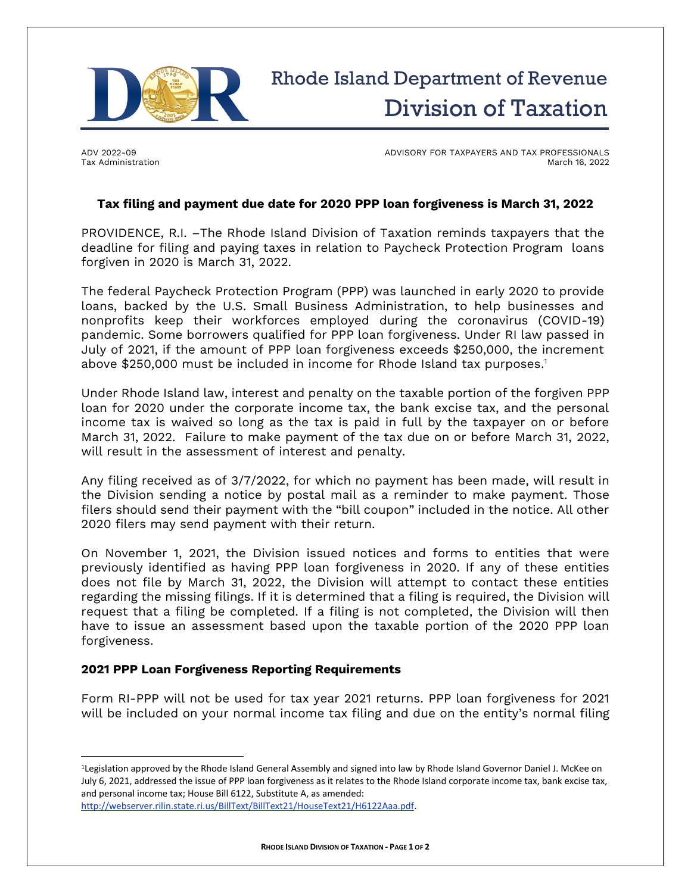

ADV 2022-09 Tax Administration ADVISORY FOR TAXPAYERS AND TAX PROFESSIONALS March 16, 2022

## **Tax filing and payment due date for 2020 PPP loan forgiveness is March 31, 2022**

PROVIDENCE, R.I. –The Rhode Island Division of Taxation reminds taxpayers that the deadline for filing and paying taxes in relation to Paycheck Protection Program loans forgiven in 2020 is March 31, 2022.

The federal Paycheck Protection Program (PPP) was launched in early 2020 to provide loans, backed by the U.S. Small Business Administration, to help businesses and nonprofits keep their workforces employed during the coronavirus (COVID-19) pandemic. Some borrowers qualified for PPP loan forgiveness. Under RI law passed in July of 2021, if the amount of PPP loan forgiveness exceeds \$250,000, the increment above \$250,000 must be included in income for Rhode Island tax purposes. 1

Under Rhode Island law, interest and penalty on the taxable portion of the forgiven PPP loan for 2020 under the corporate income tax, the bank excise tax, and the personal income tax is waived so long as the tax is paid in full by the taxpayer on or before March 31, 2022. Failure to make payment of the tax due on or before March 31, 2022, will result in the assessment of interest and penalty.

Any filing received as of 3/7/2022, for which no payment has been made, will result in the Division sending a notice by postal mail as a reminder to make payment. Those filers should send their payment with the "bill coupon" included in the notice. All other 2020 filers may send payment with their return.

On November 1, 2021, the Division issued notices and forms to entities that were previously identified as having PPP loan forgiveness in 2020. If any of these entities does not file by March 31, 2022, the Division will attempt to contact these entities regarding the missing filings. If it is determined that a filing is required, the Division will request that a filing be completed. If a filing is not completed, the Division will then have to issue an assessment based upon the taxable portion of the 2020 PPP loan forgiveness.

## **2021 PPP Loan Forgiveness Reporting Requirements**

Form RI-PPP will not be used for tax year 2021 returns. PPP loan forgiveness for 2021 will be included on your normal income tax filing and due on the entity's normal filing

[http://webserver.rilin.state.ri.us/BillText/BillText21/HouseText21/H6122Aaa.pdf.](http://webserver.rilin.state.ri.us/BillText/BillText21/HouseText21/H6122Aaa.pdf)

<sup>1</sup>Legislation approved by the Rhode Island General Assembly and signed into law by Rhode Island Governor Daniel J. McKee on July 6, 2021, addressed the issue of PPP loan forgiveness as it relates to the Rhode Island corporate income tax, bank excise tax, and personal income tax; House Bill 6122, Substitute A, as amended: